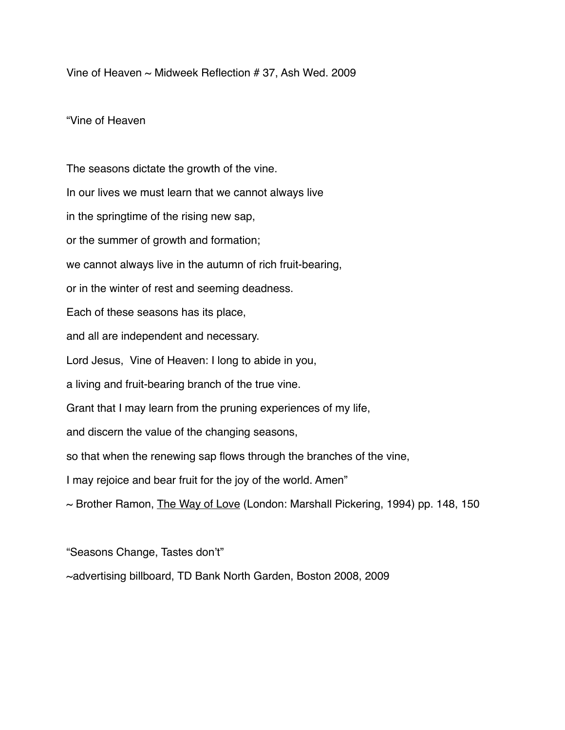Vine of Heaven ~ Midweek Reflection # 37, Ash Wed. 2009

## "Vine of Heaven

The seasons dictate the growth of the vine. In our lives we must learn that we cannot always live in the springtime of the rising new sap, or the summer of growth and formation; we cannot always live in the autumn of rich fruit-bearing, or in the winter of rest and seeming deadness. Each of these seasons has its place, and all are independent and necessary. Lord Jesus, Vine of Heaven: I long to abide in you, a living and fruit-bearing branch of the true vine. Grant that I may learn from the pruning experiences of my life, and discern the value of the changing seasons, so that when the renewing sap flows through the branches of the vine, I may rejoice and bear fruit for the joy of the world. Amen" ~ Brother Ramon, The Way of Love (London: Marshall Pickering, 1994) pp. 148, 150

"Seasons Change, Tastes don't"

~advertising billboard, TD Bank North Garden, Boston 2008, 2009